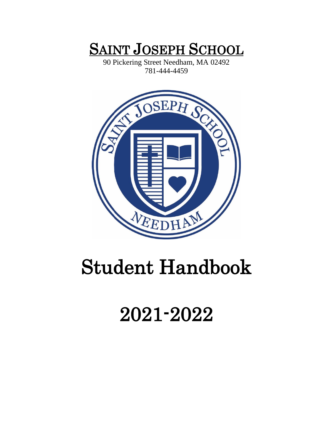## **SAINT JOSEPH SCHOOL**

90 Pickering Street Needham, MA 02492 781-444-4459

<span id="page-0-0"></span>

# <span id="page-0-2"></span><span id="page-0-1"></span>Student Handbook

## 2021-2022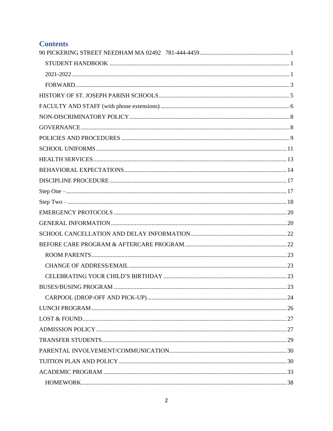## **Contents**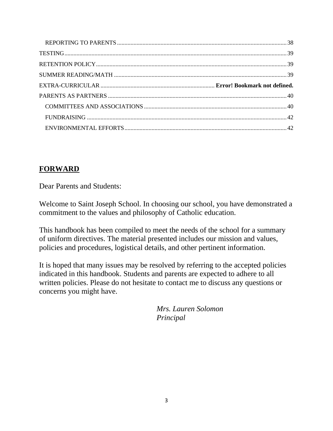#### <span id="page-2-0"></span>**FORWARD**

Dear Parents and Students:

Welcome to Saint Joseph School. In choosing our school, you have demonstrated a commitment to the values and philosophy of Catholic education.

This handbook has been compiled to meet the needs of the school for a summary of uniform directives. The material presented includes our mission and values, policies and procedures, logistical details, and other pertinent information.

It is hoped that many issues may be resolved by referring to the accepted policies indicated in this handbook. Students and parents are expected to adhere to all written policies. Please do not hesitate to contact me to discuss any questions or concerns you might have.

> *Mrs. Lauren Solomon Principal*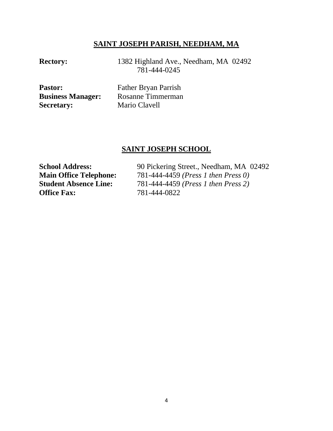#### **SAINT JOSEPH PARISH, NEEDHAM, MA**

**Rectory:** 1382 Highland Ave., Needham, MA 02492 781-444-0245

| <b>Pastor:</b>           | <b>Father Bryan Parrish</b> |
|--------------------------|-----------------------------|
| <b>Business Manager:</b> | Rosanne Timmerman           |
| <b>Secretary:</b>        | Mario Clavell               |

#### **SAINT JOSEPH SCHOOL**

**Office Fax:** 781-444-0822

School Address: 90 Pickering Street., Needham, MA 02492 **Main Office Telephone:** 781-444-4459 *(Press 1 then Press 0)*<br>**Student Absence Line:** 781-444-4459 *(Press 1 then Press 2)* **Student Absence Line:** 781-444-4459 *(Press 1 then Press 2)*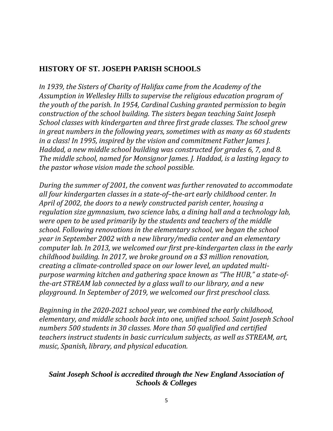## <span id="page-4-0"></span>**HISTORY OF ST. JOSEPH PARISH SCHOOLS**

*In 1939, the Sisters of Charity of Halifax came from the Academy of the Assumption in Wellesley Hills to supervise the religious education program of the youth of the parish. In 1954, Cardinal Cushing granted permission to begin construction of the school building. The sisters began teaching Saint Joseph School classes with kindergarten and three first grade classes. The school grew in great numbers in the following years, sometimes with as many as 60 students in a class! In 1995, inspired by the vision and commitment Father James J. Haddad, a new middle school building was constructed for grades 6, 7, and 8. The middle school, named for Monsignor James. J. Haddad, is a lasting legacy to the pastor whose vision made the school possible.*

*During the summer of 2001, the convent was further renovated to accommodate all four kindergarten classes in a state-of–the-art early childhood center. In April of 2002, the doors to a newly constructed parish center, housing a regulation size gymnasium, two science labs, a dining hall and a technology lab, were open to be used primarily by the students and teachers of the middle school. Following renovations in the elementary school, we began the school year in September 2002 with a new library/media center and an elementary computer lab. In 2013, we welcomed our first pre-kindergarten class in the early childhood building. In 2017, we broke ground on a \$3 million renovation, creating a climate-controlled space on our lower level, an updated multipurpose warming kitchen and gathering space known as "The HUB," a state-ofthe-art STREAM lab connected by a glass wall to our library, and a new playground. In September of 2019, we welcomed our first preschool class.* 

*Beginning in the 2020-2021 school year, we combined the early childhood, elementary, and middle schools back into one, unified school. Saint Joseph School numbers 500 students in 30 classes. More than 50 qualified and certified teachers instruct students in basic curriculum subjects, as well as STREAM, art, music, Spanish, library, and physical education.* 

#### *Saint Joseph School is accredited through the New England Association of Schools & Colleges*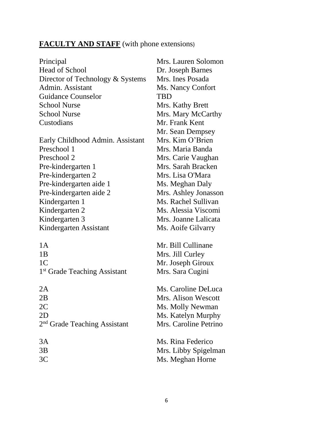## <span id="page-5-0"></span>**FACULTY AND STAFF** (with phone extensions)

| Principal                                | Mrs. Lauren Solomon   |
|------------------------------------------|-----------------------|
| <b>Head of School</b>                    | Dr. Joseph Barnes     |
| Director of Technology & Systems         | Mrs. Ines Posada      |
| Admin. Assistant                         | Ms. Nancy Confort     |
| <b>Guidance Counselor</b>                | TBD                   |
| <b>School Nurse</b>                      | Mrs. Kathy Brett      |
| <b>School Nurse</b>                      | Mrs. Mary McCarthy    |
| Custodians                               | Mr. Frank Kent        |
|                                          | Mr. Sean Dempsey      |
| Early Childhood Admin. Assistant         | Mrs. Kim O'Brien      |
| Preschool 1                              | Mrs. Maria Banda      |
| Preschool 2                              | Mrs. Carie Vaughan    |
| Pre-kindergarten 1                       | Mrs. Sarah Bracken    |
| Pre-kindergarten 2                       | Mrs. Lisa O'Mara      |
| Pre-kindergarten aide 1                  | Ms. Meghan Daly       |
| Pre-kindergarten aide 2                  | Mrs. Ashley Jonasson  |
| Kindergarten 1                           | Ms. Rachel Sullivan   |
| Kindergarten 2                           | Ms. Alessia Viscomi   |
| Kindergarten 3                           | Mrs. Joanne Lalicata  |
| Kindergarten Assistant                   | Ms. Aoife Gilvarry    |
| 1A                                       | Mr. Bill Cullinane    |
| 1B                                       | Mrs. Jill Curley      |
| 1 <sup>C</sup>                           | Mr. Joseph Giroux     |
| 1 <sup>st</sup> Grade Teaching Assistant | Mrs. Sara Cugini      |
|                                          |                       |
| 2A                                       | Ms. Caroline DeLuca   |
| 2B                                       | Mrs. Alison Wescott   |
| 2 <sub>C</sub>                           | Ms. Molly Newman      |
| 2D                                       | Ms. Katelyn Murphy    |
| 2 <sup>nd</sup> Grade Teaching Assistant | Mrs. Caroline Petrino |
| 3A                                       | Ms. Rina Federico     |
| 3B                                       | Mrs. Libby Spigelman  |
| 3C                                       | Ms. Meghan Horne      |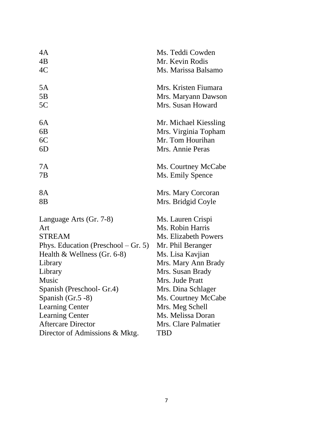<span id="page-6-0"></span>

| 4A                                  | Ms. Teddi Cowden      |
|-------------------------------------|-----------------------|
| 4B                                  | Mr. Kevin Rodis       |
| 4C                                  | Ms. Marissa Balsamo   |
| 5A                                  | Mrs. Kristen Fiumara  |
| 5B                                  | Mrs. Maryann Dawson   |
| 5C                                  | Mrs. Susan Howard     |
| 6A                                  | Mr. Michael Kiessling |
| 6B                                  | Mrs. Virginia Topham  |
| 6C                                  | Mr. Tom Hourihan      |
| 6D                                  | Mrs. Annie Peras      |
| 7A                                  | Ms. Courtney McCabe   |
| 7В                                  | Ms. Emily Spence      |
| 8A                                  | Mrs. Mary Corcoran    |
| 8B                                  | Mrs. Bridgid Coyle    |
| Language Arts (Gr. 7-8)             | Ms. Lauren Crispi     |
| Art                                 | Ms. Robin Harris      |
| <b>STREAM</b>                       | Ms. Elizabeth Powers  |
| Phys. Education (Preschool – Gr. 5) | Mr. Phil Beranger     |
| Health $&$ Wellness (Gr. 6-8)       | Ms. Lisa Kavjian      |
| Library                             | Mrs. Mary Ann Brady   |
| Library                             | Mrs. Susan Brady      |
| Music                               | Mrs. Jude Pratt       |
| Spanish (Preschool- Gr.4)           | Mrs. Dina Schlager    |
| Spanish $(Gr.5 - 8)$                | Ms. Courtney McCabe   |
| <b>Learning Center</b>              | Mrs. Meg Schell       |
| <b>Learning Center</b>              | Ms. Melissa Doran     |
| <b>Aftercare Director</b>           | Mrs. Clare Palmatier  |
| Director of Admissions & Mktg.      | TBD                   |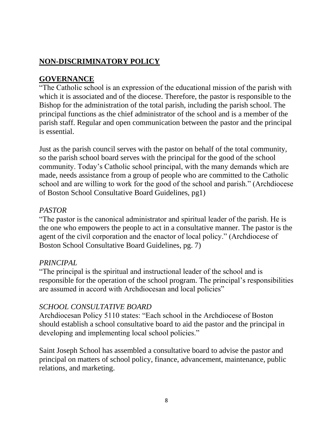## **NON-DISCRIMINATORY POLICY**

#### <span id="page-7-0"></span>**GOVERNANCE**

"The Catholic school is an expression of the educational mission of the parish with which it is associated and of the diocese. Therefore, the pastor is responsible to the Bishop for the administration of the total parish, including the parish school. The principal functions as the chief administrator of the school and is a member of the parish staff. Regular and open communication between the pastor and the principal is essential.

Just as the parish council serves with the pastor on behalf of the total community, so the parish school board serves with the principal for the good of the school community. Today's Catholic school principal, with the many demands which are made, needs assistance from a group of people who are committed to the Catholic school and are willing to work for the good of the school and parish." (Archdiocese of Boston School Consultative Board Guidelines, pg1)

#### *PASTOR*

"The pastor is the canonical administrator and spiritual leader of the parish. He is the one who empowers the people to act in a consultative manner. The pastor is the agent of the civil corporation and the enactor of local policy." (Archdiocese of Boston School Consultative Board Guidelines, pg. 7)

#### *PRINCIPAL*

"The principal is the spiritual and instructional leader of the school and is responsible for the operation of the school program. The principal's responsibilities are assumed in accord with Archdiocesan and local policies"

#### *SCHOOL CONSULTATIVE BOARD*

Archdiocesan Policy 5110 states: "Each school in the Archdiocese of Boston should establish a school consultative board to aid the pastor and the principal in developing and implementing local school policies."

Saint Joseph School has assembled a consultative board to advise the pastor and principal on matters of school policy, finance, advancement, maintenance, public relations, and marketing.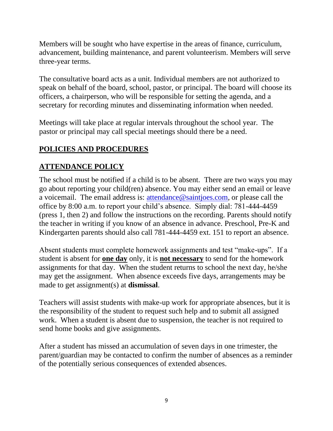Members will be sought who have expertise in the areas of finance, curriculum, advancement, building maintenance, and parent volunteerism. Members will serve three-year terms.

The consultative board acts as a unit. Individual members are not authorized to speak on behalf of the board, school, pastor, or principal. The board will choose its officers, a chairperson, who will be responsible for setting the agenda, and a secretary for recording minutes and disseminating information when needed.

Meetings will take place at regular intervals throughout the school year. The pastor or principal may call special meetings should there be a need.

## <span id="page-8-0"></span>**POLICIES AND PROCEDURES**

#### **ATTENDANCE POLICY**

The school must be notified if a child is to be absent. There are two ways you may go about reporting your child(ren) absence. You may either send an email or leave a voicemail. The email address is: [attendance@saintjoes.com,](mailto:attendance@saintjoes.com) or please call the office by 8:00 a.m. to report your child's absence. Simply dial: 781-444-4459 (press 1, then 2) and follow the instructions on the recording. Parents should notify the teacher in writing if you know of an absence in advance. Preschool, Pre-K and Kindergarten parents should also call 781-444-4459 ext. 151 to report an absence.

Absent students must complete homework assignments and test "make-ups". If a student is absent for **one day** only, it is **not necessary** to send for the homework assignments for that day. When the student returns to school the next day, he/she may get the assignment. When absence exceeds five days, arrangements may be made to get assignment(s) at **dismissal**.

Teachers will assist students with make-up work for appropriate absences, but it is the responsibility of the student to request such help and to submit all assigned work. When a student is absent due to suspension, the teacher is not required to send home books and give assignments.

After a student has missed an accumulation of seven days in one trimester, the parent/guardian may be contacted to confirm the number of absences as a reminder of the potentially serious consequences of extended absences.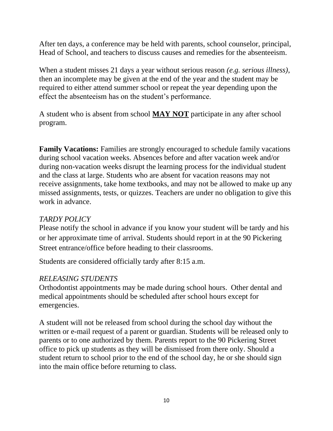After ten days, a conference may be held with parents, school counselor, principal, Head of School, and teachers to discuss causes and remedies for the absenteeism.

When a student misses 21 days a year without serious reason *(e.g. serious illness)*, then an incomplete may be given at the end of the year and the student may be required to either attend summer school or repeat the year depending upon the effect the absenteeism has on the student's performance.

A student who is absent from school **MAY NOT** participate in any after school program.

**Family Vacations:** Families are strongly encouraged to schedule family vacations during school vacation weeks. Absences before and after vacation week and/or during non-vacation weeks disrupt the learning process for the individual student and the class at large. Students who are absent for vacation reasons may not receive assignments, take home textbooks, and may not be allowed to make up any missed assignments, tests, or quizzes. Teachers are under no obligation to give this work in advance.

#### *TARDY POLICY*

Please notify the school in advance if you know your student will be tardy and his or her approximate time of arrival. Students should report in at the 90 Pickering Street entrance/office before heading to their classrooms.

Students are considered officially tardy after 8:15 a.m.

#### *RELEASING STUDENTS*

Orthodontist appointments may be made during school hours. Other dental and medical appointments should be scheduled after school hours except for emergencies.

A student will not be released from school during the school day without the written or e-mail request of a parent or guardian. Students will be released only to parents or to one authorized by them. Parents report to the 90 Pickering Street office to pick up students as they will be dismissed from there only. Should a student return to school prior to the end of the school day, he or she should sign into the main office before returning to class.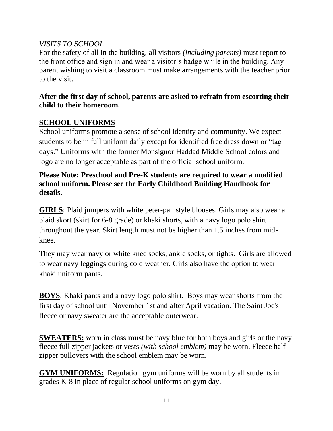#### *VISITS TO SCHOOL*

For the safety of all in the building, all visitors *(including parents)* must report to the front office and sign in and wear a visitor's badge while in the building. Any parent wishing to visit a classroom must make arrangements with the teacher prior to the visit.

## **After the first day of school, parents are asked to refrain from escorting their child to their homeroom.**

## <span id="page-10-0"></span>**SCHOOL UNIFORMS**

School uniforms promote a sense of school identity and community. We expect students to be in full uniform daily except for identified free dress down or "tag days." Uniforms with the former Monsignor Haddad Middle School colors and logo are no longer acceptable as part of the official school uniform.

#### **Please Note: Preschool and Pre-K students are required to wear a modified school uniform. Please see the Early Childhood Building Handbook for details.**

**GIRLS**: Plaid jumpers with white peter-pan style blouses. Girls may also wear a plaid skort (skirt for 6-8 grade) or khaki shorts, with a navy logo polo shirt throughout the year. Skirt length must not be higher than 1.5 inches from midknee.

They may wear navy or white knee socks, ankle socks, or tights. Girls are allowed to wear navy leggings during cold weather. Girls also have the option to wear khaki uniform pants.

**BOYS**: Khaki pants and a navy logo polo shirt. Boys may wear shorts from the first day of school until November 1st and after April vacation. The Saint Joe's fleece or navy sweater are the acceptable outerwear.

**SWEATERS:** worn in class **must** be navy blue for both boys and girls or the navy fleece full zipper jackets or vests *(with school emblem)* may be worn. Fleece half zipper pullovers with the school emblem may be worn.

**GYM UNIFORMS:** Regulation gym uniforms will be worn by all students in grades K-8 in place of regular school uniforms on gym day.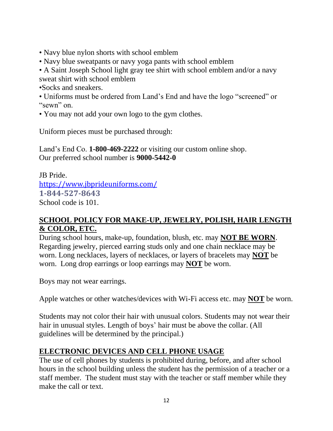- Navy blue nylon shorts with school emblem
- Navy blue sweatpants or navy yoga pants with school emblem
- A Saint Joseph School light gray tee shirt with school emblem and/or a navy sweat shirt with school emblem

•Socks and sneakers.

- Uniforms must be ordered from Land's End and have the logo "screened" or "sewn" on.
- You may not add your own logo to the gym clothes.

Uniform pieces must be purchased through:

Land's End Co. **1-800-469-2222** or visiting our custom online shop. Our preferred school number is **9000-5442-0**

JB Pride. <https://www.jbprideuniforms.com/> **1-844-527-8643** School code is 101.

#### **SCHOOL POLICY FOR MAKE-UP, JEWELRY, POLISH, HAIR LENGTH & COLOR, ETC.**

During school hours, make-up, foundation, blush, etc. may **NOT BE WORN**. Regarding jewelry, pierced earring studs only and one chain necklace may be worn. Long necklaces, layers of necklaces, or layers of bracelets may **NOT** be worn. Long drop earrings or loop earrings may **NOT** be worn.

Boys may not wear earrings.

Apple watches or other watches/devices with Wi-Fi access etc. may **NOT** be worn.

Students may not color their hair with unusual colors. Students may not wear their hair in unusual styles. Length of boys' hair must be above the collar. (All guidelines will be determined by the principal.)

## **ELECTRONIC DEVICES AND CELL PHONE USAGE**

The use of cell phones by students is prohibited during, before, and after school hours in the school building unless the student has the permission of a teacher or a staff member. The student must stay with the teacher or staff member while they make the call or text.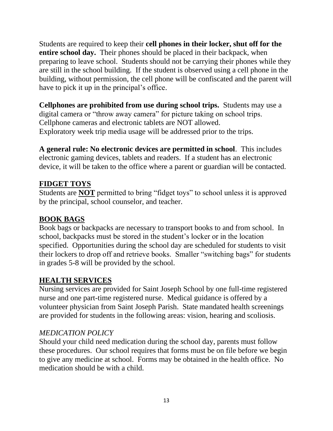Students are required to keep their **cell phones in their locker, shut off for the entire school day.** Their phones should be placed in their backpack, when preparing to leave school. Students should not be carrying their phones while they are still in the school building. If the student is observed using a cell phone in the building, without permission, the cell phone will be confiscated and the parent will have to pick it up in the principal's office.

**Cellphones are prohibited from use during school trips.** Students may use a digital camera or "throw away camera" for picture taking on school trips. Cellphone cameras and electronic tablets are NOT allowed. Exploratory week trip media usage will be addressed prior to the trips.

**A general rule: No electronic devices are permitted in school**. This includes electronic gaming devices, tablets and readers. If a student has an electronic device, it will be taken to the office where a parent or guardian will be contacted.

#### **FIDGET TOYS**

Students are **NOT** permitted to bring "fidget toys" to school unless it is approved by the principal, school counselor, and teacher.

#### **BOOK BAGS**

Book bags or backpacks are necessary to transport books to and from school. In school, backpacks must be stored in the student's locker or in the location specified. Opportunities during the school day are scheduled for students to visit their lockers to drop off and retrieve books. Smaller "switching bags" for students in grades 5-8 will be provided by the school.

#### <span id="page-12-0"></span>**HEALTH SERVICES**

Nursing services are provided for Saint Joseph School by one full-time registered nurse and one part-time registered nurse. Medical guidance is offered by a volunteer physician from Saint Joseph Parish. State mandated health screenings are provided for students in the following areas: vision, hearing and scoliosis.

#### *MEDICATION POLICY*

Should your child need medication during the school day, parents must follow these procedures. Our school requires that forms must be on file before we begin to give any medicine at school. Forms may be obtained in the health office. No medication should be with a child.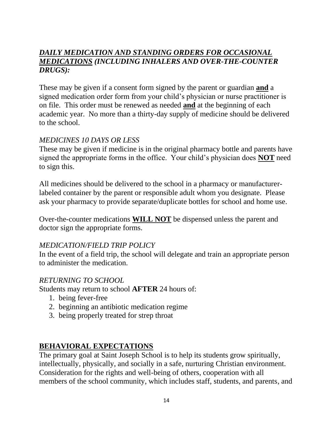#### *DAILY MEDICATION AND STANDING ORDERS FOR OCCASIONAL MEDICATIONS (INCLUDING INHALERS AND OVER-THE-COUNTER DRUGS):*

These may be given if a consent form signed by the parent or guardian **and** a signed medication order form from your child's physician or nurse practitioner is on file. This order must be renewed as needed **and** at the beginning of each academic year. No more than a thirty-day supply of medicine should be delivered to the school.

#### *MEDICINES 10 DAYS OR LESS*

These may be given if medicine is in the original pharmacy bottle and parents have signed the appropriate forms in the office. Your child's physician does **NOT** need to sign this.

All medicines should be delivered to the school in a pharmacy or manufacturerlabeled container by the parent or responsible adult whom you designate. Please ask your pharmacy to provide separate/duplicate bottles for school and home use.

Over-the-counter medications **WILL NOT** be dispensed unless the parent and doctor sign the appropriate forms.

#### *MEDICATION/FIELD TRIP POLICY*

In the event of a field trip, the school will delegate and train an appropriate person to administer the medication.

#### *RETURNING TO SCHOOL*

Students may return to school **AFTER** 24 hours of:

- 1. being fever-free
- 2. beginning an antibiotic medication regime
- 3. being properly treated for strep throat

#### <span id="page-13-0"></span>**BEHAVIORAL EXPECTATIONS**

The primary goal at Saint Joseph School is to help its students grow spiritually, intellectually, physically, and socially in a safe, nurturing Christian environment. Consideration for the rights and well-being of others, cooperation with all members of the school community, which includes staff, students, and parents, and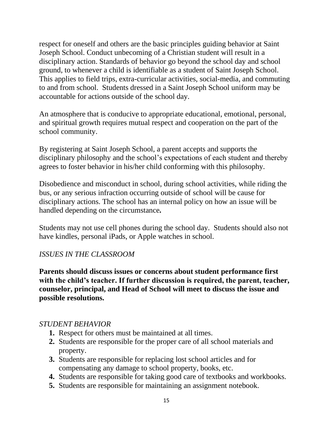respect for oneself and others are the basic principles guiding behavior at Saint Joseph School. Conduct unbecoming of a Christian student will result in a disciplinary action. Standards of behavior go beyond the school day and school ground, to whenever a child is identifiable as a student of Saint Joseph School. This applies to field trips, extra-curricular activities, social-media, and commuting to and from school. Students dressed in a Saint Joseph School uniform may be accountable for actions outside of the school day.

An atmosphere that is conducive to appropriate educational, emotional, personal, and spiritual growth requires mutual respect and cooperation on the part of the school community.

By registering at Saint Joseph School, a parent accepts and supports the disciplinary philosophy and the school's expectations of each student and thereby agrees to foster behavior in his/her child conforming with this philosophy.

Disobedience and misconduct in school, during school activities, while riding the bus, or any serious infraction occurring outside of school will be cause for disciplinary actions. The school has an internal policy on how an issue will be handled depending on the circumstance*.*

Students may not use cell phones during the school day. Students should also not have kindles, personal iPads, or Apple watches in school.

#### *ISSUES IN THE CLASSROOM*

**Parents should discuss issues or concerns about student performance first with the child's teacher. If further discussion is required, the parent, teacher, counselor, principal, and Head of School will meet to discuss the issue and possible resolutions.**

#### *STUDENT BEHAVIOR*

- **1.** Respect for others must be maintained at all times.
- **2.** Students are responsible for the proper care of all school materials and property.
- **3.** Students are responsible for replacing lost school articles and for compensating any damage to school property, books, etc.
- **4.** Students are responsible for taking good care of textbooks and workbooks.
- **5.** Students are responsible for maintaining an assignment notebook.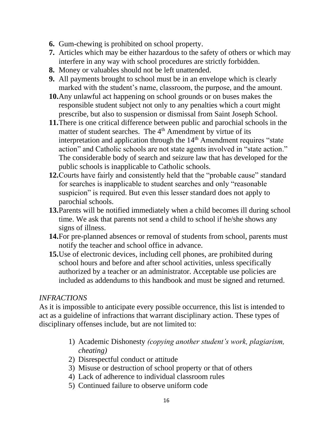- **6.** Gum-chewing is prohibited on school property.
- **7.** Articles which may be either hazardous to the safety of others or which may interfere in any way with school procedures are strictly forbidden.
- **8.** Money or valuables should not be left unattended.
- **9.** All payments brought to school must be in an envelope which is clearly marked with the student's name, classroom, the purpose, and the amount.
- **10.**Any unlawful act happening on school grounds or on buses makes the responsible student subject not only to any penalties which a court might prescribe, but also to suspension or dismissal from Saint Joseph School.
- **11.**There is one critical difference between public and parochial schools in the matter of student searches. The 4<sup>th</sup> Amendment by virtue of its interpretation and application through the  $14<sup>th</sup>$  Amendment requires "state action" and Catholic schools are not state agents involved in "state action." The considerable body of search and seizure law that has developed for the public schools is inapplicable to Catholic schools.
- **12.**Courts have fairly and consistently held that the "probable cause" standard for searches is inapplicable to student searches and only "reasonable suspicion" is required. But even this lesser standard does not apply to parochial schools.
- **13.**Parents will be notified immediately when a child becomes ill during school time. We ask that parents not send a child to school if he/she shows any signs of illness.
- **14.**For pre-planned absences or removal of students from school, parents must notify the teacher and school office in advance.
- **15.**Use of electronic devices, including cell phones, are prohibited during school hours and before and after school activities, unless specifically authorized by a teacher or an administrator. Acceptable use policies are included as addendums to this handbook and must be signed and returned.

#### *INFRACTIONS*

As it is impossible to anticipate every possible occurrence, this list is intended to act as a guideline of infractions that warrant disciplinary action. These types of disciplinary offenses include, but are not limited to:

- 1) Academic Dishonesty *(copying another student's work, plagiarism, cheating)*
- 2) Disrespectful conduct or attitude
- 3) Misuse or destruction of school property or that of others
- 4) Lack of adherence to individual classroom rules
- 5) Continued failure to observe uniform code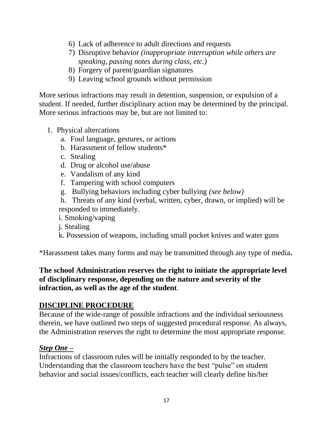- 6) Lack of adherence to adult directions and requests
- 7) Disruptive behavior *(inappropriate interruption while others are speaking, passing notes during class, etc.)*
- 8) Forgery of parent/guardian signatures
- 9) Leaving school grounds without permission

More serious infractions may result in detention, suspension, or expulsion of a student. If needed, further disciplinary action may be determined by the principal. More serious infractions may be, but are not limited to:

- 1. Physical altercations
	- a. Foul language, gestures, or actions
	- b. Harassment of fellow students\*
	- c. Stealing
	- d. Drug or alcohol use/abuse
	- e. Vandalism of any kind
	- f. Tampering with school computers
	- g. Bullying behaviors including cyber bullying *(see below)*
	- h. Threats of any kind (verbal, written, cyber, drawn, or implied) will be responded to immediately.
	- i. Smoking/vaping
	- j. Stealing
	- k. Possession of weapons, including small pocket knives and water guns

\*Harassment takes many forms and may be transmitted through any type of media**.** 

#### **The school Administration reserves the right to initiate the appropriate level of disciplinary response, depending on the nature and severity of the infraction, as well as the age of the student**.

#### <span id="page-16-0"></span>**DISCIPLINE PROCEDURE**

Because of the wide-range of possible infractions and the individual seriousness therein, we have outlined two steps of suggested procedural response. As always, the Administration reserves the right to determine the most appropriate response.

#### <span id="page-16-1"></span>*Step One –*

Infractions of classroom rules will be initially responded to by the teacher. Understanding that the classroom teachers have the best "pulse" on student behavior and social issues/conflicts, each teacher will clearly define his/her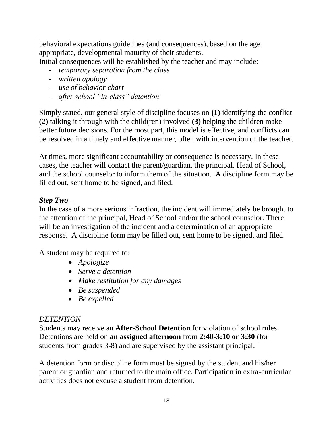behavioral expectations guidelines (and consequences), based on the age appropriate, developmental maturity of their students.

Initial consequences will be established by the teacher and may include:

- *temporary separation from the class*
- *written apology*
- *use of behavior chart*
- *after school "in-class" detention*

Simply stated, our general style of discipline focuses on **(1)** identifying the conflict **(2)** talking it through with the child(ren) involved **(3)** helping the children make better future decisions. For the most part, this model is effective, and conflicts can be resolved in a timely and effective manner, often with intervention of the teacher.

At times, more significant accountability or consequence is necessary. In these cases, the teacher will contact the parent/guardian, the principal, Head of School, and the school counselor to inform them of the situation. A discipline form may be filled out, sent home to be signed, and filed.

#### <span id="page-17-0"></span>*Step Two –*

In the case of a more serious infraction, the incident will immediately be brought to the attention of the principal, Head of School and/or the school counselor. There will be an investigation of the incident and a determination of an appropriate response. A discipline form may be filled out, sent home to be signed, and filed.

A student may be required to:

- *Apologize*
- *Serve a detention*
- *Make restitution for any damages*
- *Be suspended*
- *Be expelled*

#### *DETENTION*

Students may receive an **After-School Detention** for violation of school rules. Detentions are held on **an assigned afternoon** from **2:40-3:10 or 3:30** (for students from grades 3-8) and are supervised by the assistant principal.

A detention form or discipline form must be signed by the student and his/her parent or guardian and returned to the main office. Participation in extra-curricular activities does not excuse a student from detention.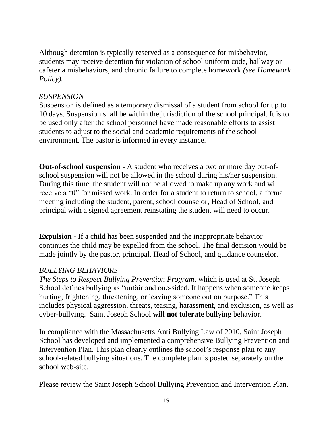Although detention is typically reserved as a consequence for misbehavior, students may receive detention for violation of school uniform code, hallway or cafeteria misbehaviors, and chronic failure to complete homework *(see Homework Policy).*

#### *SUSPENSION*

Suspension is defined as a temporary dismissal of a student from school for up to 10 days. Suspension shall be within the jurisdiction of the school principal. It is to be used only after the school personnel have made reasonable efforts to assist students to adjust to the social and academic requirements of the school environment. The pastor is informed in every instance.

**Out-of-school suspension -** A student who receives a two or more day out-ofschool suspension will not be allowed in the school during his/her suspension. During this time, the student will not be allowed to make up any work and will receive a "0" for missed work. In order for a student to return to school, a formal meeting including the student, parent, school counselor, Head of School, and principal with a signed agreement reinstating the student will need to occur.

**Expulsion -** If a child has been suspended and the inappropriate behavior continues the child may be expelled from the school. The final decision would be made jointly by the pastor, principal, Head of School, and guidance counselor.

#### *BULLYING BEHAVIORS*

*The Steps to Respect Bullying Prevention Program*, which is used at St. Joseph School defines bullying as "unfair and one-sided. It happens when someone keeps hurting, frightening, threatening, or leaving someone out on purpose." This includes physical aggression, threats, teasing, harassment, and exclusion, as well as cyber-bullying. Saint Joseph School **will not tolerate** bullying behavior.

In compliance with the Massachusetts Anti Bullying Law of 2010, Saint Joseph School has developed and implemented a comprehensive Bullying Prevention and Intervention Plan. This plan clearly outlines the school's response plan to any school-related bullying situations. The complete plan is posted separately on the school web-site.

Please review the Saint Joseph School Bullying Prevention and Intervention Plan.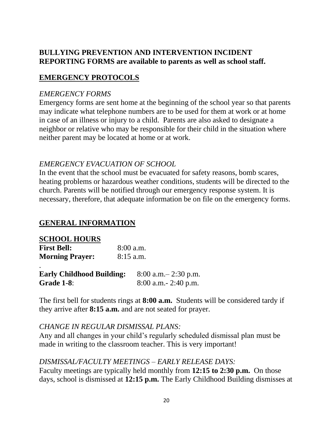#### **BULLYING PREVENTION AND INTERVENTION INCIDENT REPORTING FORMS are available to parents as well as school staff.**

#### <span id="page-19-0"></span>**EMERGENCY PROTOCOLS**

#### *EMERGENCY FORMS*

Emergency forms are sent home at the beginning of the school year so that parents may indicate what telephone numbers are to be used for them at work or at home in case of an illness or injury to a child. Parents are also asked to designate a neighbor or relative who may be responsible for their child in the situation where neither parent may be located at home or at work.

#### *EMERGENCY EVACUATION OF SCHOOL*

In the event that the school must be evacuated for safety reasons, bomb scares, heating problems or hazardous weather conditions, students will be directed to the church. Parents will be notified through our emergency response system. It is necessary, therefore, that adequate information be on file on the emergency forms.

#### <span id="page-19-1"></span>**GENERAL INFORMATION**

| <b>SCHOOL HOURS</b>    |             |
|------------------------|-------------|
| <b>First Bell:</b>     | $8:00$ a.m. |
| <b>Morning Prayer:</b> | $8:15$ a.m. |
|                        |             |

| <b>Early Childhood Building:</b> | $8:00$ a.m. $-2:30$ p.m. |
|----------------------------------|--------------------------|
| Grade 1-8:                       | $8:00$ a.m. $-2:40$ p.m. |

The first bell for students rings at **8:00 a.m.** Students will be considered tardy if they arrive after **8:15 a.m.** and are not seated for prayer.

#### *CHANGE IN REGULAR DISMISSAL PLANS:*

Any and all changes in your child's regularly scheduled dismissal plan must be made in writing to the classroom teacher. This is very important!

#### *DISMISSAL/FACULTY MEETINGS – EARLY RELEASE DAYS:*

Faculty meetings are typically held monthly from **12:15 to 2:30 p.m.** On those days, school is dismissed at **12:15 p.m.** The Early Childhood Building dismisses at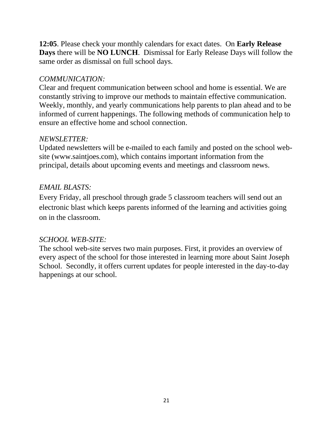**12:05**. Please check your monthly calendars for exact dates. On **Early Release Days** there will be **NO LUNCH**. Dismissal for Early Release Days will follow the same order as dismissal on full school days.

## *COMMUNICATION:*

Clear and frequent communication between school and home is essential. We are constantly striving to improve our methods to maintain effective communication. Weekly, monthly, and yearly communications help parents to plan ahead and to be informed of current happenings. The following methods of communication help to ensure an effective home and school connection.

#### *NEWSLETTER:*

Updated newsletters will be e-mailed to each family and posted on the school website (www.saintjoes.com), which contains important information from the principal, details about upcoming events and meetings and classroom news.

#### *EMAIL BLASTS:*

Every Friday, all preschool through grade 5 classroom teachers will send out an electronic blast which keeps parents informed of the learning and activities going on in the classroom.

#### *SCHOOL WEB-SITE:*

The school web-site serves two main purposes. First, it provides an overview of every aspect of the school for those interested in learning more about Saint Joseph School. Secondly, it offers current updates for people interested in the day-to-day happenings at our school.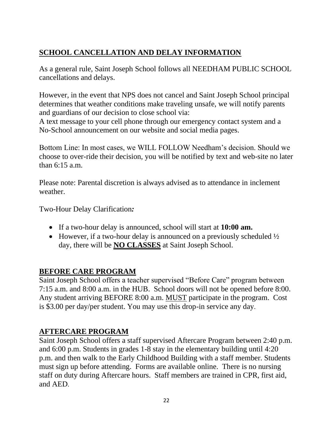## <span id="page-21-0"></span>**SCHOOL CANCELLATION AND DELAY INFORMATION**

As a general rule, Saint Joseph School follows all NEEDHAM PUBLIC SCHOOL cancellations and delays.

However, in the event that NPS does not cancel and Saint Joseph School principal determines that weather conditions make traveling unsafe, we will notify parents and guardians of our decision to close school via:

A text message to your cell phone through our emergency contact system and a No-School announcement on our website and social media pages.

Bottom Line: In most cases, we WILL FOLLOW Needham's decision. Should we choose to over-ride their decision, you will be notified by text and web-site no later than 6:15 a.m.

Please note: Parental discretion is always advised as to attendance in inclement weather.

Two-Hour Delay Clarification*:*

- If a two-hour delay is announced, school will start at **10:00 am.**
- However, if a two-hour delay is announced on a previously scheduled  $\frac{1}{2}$ day, there will be **NO CLASSES** at Saint Joseph School.

## <span id="page-21-1"></span>**BEFORE CARE PROGRAM**

Saint Joseph School offers a teacher supervised "Before Care" program between 7:15 a.m. and 8:00 a.m. in the HUB. School doors will not be opened before 8:00. Any student arriving BEFORE 8:00 a.m. MUST participate in the program. Cost is \$3.00 per day/per student. You may use this drop-in service any day.

## **AFTERCARE PROGRAM**

Saint Joseph School offers a staff supervised Aftercare Program between 2:40 p.m. and 6:00 p.m. Students in grades 1-8 stay in the elementary building until 4:20 p.m. and then walk to the Early Childhood Building with a staff member. Students must sign up before attending. Forms are available online. There is no nursing staff on duty during Aftercare hours. Staff members are trained in CPR, first aid, and AED.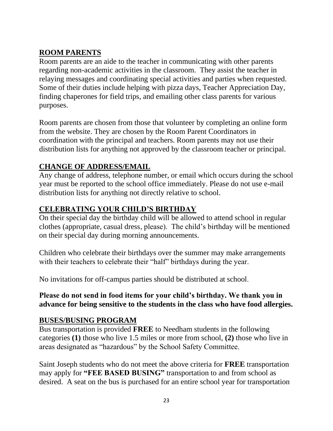## <span id="page-22-0"></span>**ROOM PARENTS**

Room parents are an aide to the teacher in communicating with other parents regarding non-academic activities in the classroom. They assist the teacher in relaying messages and coordinating special activities and parties when requested. Some of their duties include helping with pizza days, Teacher Appreciation Day, finding chaperones for field trips, and emailing other class parents for various purposes.

Room parents are chosen from those that volunteer by completing an online form from the website. They are chosen by the Room Parent Coordinators in coordination with the principal and teachers. Room parents may not use their distribution lists for anything not approved by the classroom teacher or principal.

#### <span id="page-22-1"></span>**CHANGE OF ADDRESS/EMAIL**

Any change of address, telephone number, or email which occurs during the school year must be reported to the school office immediately. Please do not use e-mail distribution lists for anything not directly relative to school.

#### <span id="page-22-2"></span>**CELEBRATING YOUR CHILD'S BIRTHDAY**

On their special day the birthday child will be allowed to attend school in regular clothes (appropriate, casual dress, please). The child's birthday will be mentioned on their special day during morning announcements.

Children who celebrate their birthdays over the summer may make arrangements with their teachers to celebrate their "half" birthdays during the year.

No invitations for off-campus parties should be distributed at school.

#### **Please do not send in food items for your child's birthday. We thank you in advance for being sensitive to the students in the class who have food allergies.**

#### <span id="page-22-3"></span>**BUSES/BUSING PROGRAM**

Bus transportation is provided **FREE** to Needham students in the following categories **(1)** those who live 1.5 miles or more from school, **(2)** those who live in areas designated as "hazardous" by the School Safety Committee.

Saint Joseph students who do not meet the above criteria for **FREE** transportation may apply for **"FEE BASED BUSING"** transportation to and from school as desired. A seat on the bus is purchased for an entire school year for transportation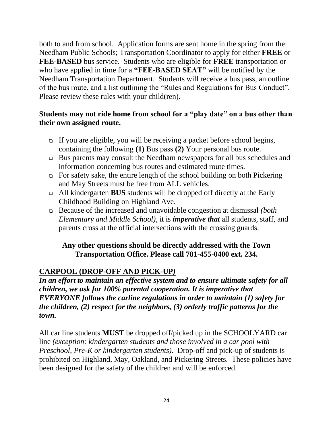both to and from school. Application forms are sent home in the spring from the Needham Public Schools; Transportation Coordinator to apply for either **FREE** or **FEE-BASED** bus service. Students who are eligible for **FREE** transportation or who have applied in time for a **"FEE-BASED SEAT"** will be notified by the Needham Transportation Department. Students will receive a bus pass, an outline of the bus route, and a list outlining the "Rules and Regulations for Bus Conduct". Please review these rules with your child(ren).

#### **Students may not ride home from school for a "play date" on a bus other than their own assigned route.**

- ❑ If you are eligible, you will be receiving a packet before school begins, containing the following **(1)** Bus pass **(2)** Your personal bus route.
- ❑ Bus parents may consult the Needham newspapers for all bus schedules and information concerning bus routes and estimated route times.
- ❑ For safety sake, the entire length of the school building on both Pickering and May Streets must be free from ALL vehicles.
- ❑ All kindergarten **BUS** students will be dropped off directly at the Early Childhood Building on Highland Ave.
- ❑ Because of the increased and unavoidable congestion at dismissal *(both Elementary and Middle School)*, it is *imperative that* all students, staff, and parents cross at the official intersections with the crossing guards.

#### **Any other questions should be directly addressed with the Town Transportation Office. Please call 781-455-0400 ext. 234.**

## <span id="page-23-0"></span>**CARPOOL (DROP-OFF AND PICK-UP***)*

*In an effort to maintain an effective system and to ensure ultimate safety for all children, we ask for 100% parental cooperation. It is imperative that EVERYONE follows the carline regulations in order to maintain (1) safety for the children, (2) respect for the neighbors, (3) orderly traffic patterns for the town.*

All car line students **MUST** be dropped off/picked up in the SCHOOLYARD car line *(exception: kindergarten students and those involved in a car pool with Preschool, Pre-K or kindergarten students).* Drop-off and pick-up of students is prohibited on Highland, May, Oakland, and Pickering Streets. These policies have been designed for the safety of the children and will be enforced.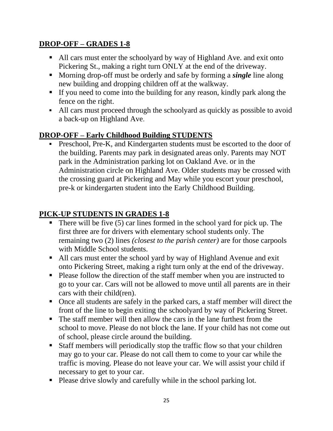## **DROP-OFF – GRADES 1-8**

- All cars must enter the schoolyard by way of Highland Ave. and exit onto Pickering St., making a right turn ONLY at the end of the driveway.
- Morning drop-off must be orderly and safe by forming a *single* line along new building and dropping children off at the walkway.
- If you need to come into the building for any reason, kindly park along the fence on the right.
- All cars must proceed through the schoolyard as quickly as possible to avoid a back-up on Highland Ave.

## **DROP-OFF – Early Childhood Building STUDENTS**

**•** Preschool, Pre-K, and Kindergarten students must be escorted to the door of the building. Parents may park in designated areas only. Parents may NOT park in the Administration parking lot on Oakland Ave. or in the Administration circle on Highland Ave. Older students may be crossed with the crossing guard at Pickering and May while you escort your preschool, pre-k or kindergarten student into the Early Childhood Building.

## **PICK-UP STUDENTS IN GRADES 1-8**

- $\blacksquare$  There will be five (5) car lines formed in the school yard for pick up. The first three are for drivers with elementary school students only. The remaining two (2) lines *(closest to the parish center)* are for those carpools with Middle School students.
- All cars must enter the school yard by way of Highland Avenue and exit onto Pickering Street, making a right turn only at the end of the driveway.
- Please follow the direction of the staff member when you are instructed to go to your car. Cars will not be allowed to move until all parents are in their cars with their child(ren).
- Once all students are safely in the parked cars, a staff member will direct the front of the line to begin exiting the schoolyard by way of Pickering Street.
- The staff member will then allow the cars in the lane furthest from the school to move. Please do not block the lane. If your child has not come out of school, please circle around the building.
- Staff members will periodically stop the traffic flow so that your children may go to your car. Please do not call them to come to your car while the traffic is moving. Please do not leave your car. We will assist your child if necessary to get to your car.
- Please drive slowly and carefully while in the school parking lot.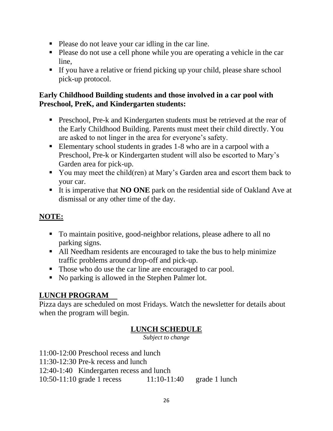- Please do not leave your car idling in the car line.
- Please do not use a cell phone while you are operating a vehicle in the car line,
- If you have a relative or friend picking up your child, please share school pick-up protocol.

#### **Early Childhood Building students and those involved in a car pool with Preschool, PreK, and Kindergarten students:**

- **•** Preschool, Pre-k and Kindergarten students must be retrieved at the rear of the Early Childhood Building. Parents must meet their child directly. You are asked to not linger in the area for everyone's safety.
- Elementary school students in grades 1-8 who are in a carpool with a Preschool, Pre-k or Kindergarten student will also be escorted to Mary's Garden area for pick-up.
- You may meet the child(ren) at Mary's Garden area and escort them back to your car.
- It is imperative that **NO ONE** park on the residential side of Oakland Ave at dismissal or any other time of the day.

## **NOTE:**

- To maintain positive, good-neighbor relations, please adhere to all no parking signs.
- All Needham residents are encouraged to take the bus to help minimize traffic problems around drop-off and pick-up.
- Those who do use the car line are encouraged to car pool.
- No parking is allowed in the Stephen Palmer lot.

## <span id="page-25-0"></span>**LUNCH PROGRAM**

Pizza days are scheduled on most Fridays. Watch the newsletter for details about when the program will begin.

## **LUNCH SCHEDULE**

*Subject to change*

11:00-12:00 Preschool recess and lunch

11:30-12:30 Pre-k recess and lunch

12:40-1:40 Kindergarten recess and lunch

10:50-11:10 grade 1 recess 11:10-11:40 grade 1 lunch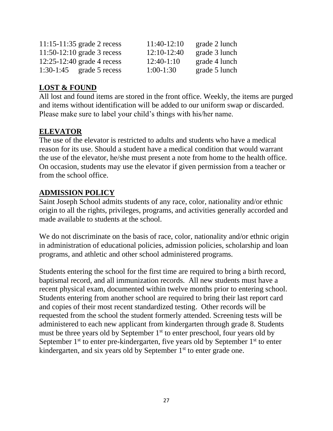| $11:15-11:35$ grade 2 recess | 11:40-12:10  | grade 2 lunch |
|------------------------------|--------------|---------------|
| $11:50-12:10$ grade 3 recess | 12:10-12:40  | grade 3 lunch |
| $12:25-12:40$ grade 4 recess | $12:40-1:10$ | grade 4 lunch |
| $1:30-1:45$ grade 5 recess   | $1:00-1:30$  | grade 5 lunch |

## <span id="page-26-0"></span>**LOST & FOUND**

All lost and found items are stored in the front office. Weekly, the items are purged and items without identification will be added to our uniform swap or discarded. Please make sure to label your child's things with his/her name.

## **ELEVATOR**

The use of the elevator is restricted to adults and students who have a medical reason for its use. Should a student have a medical condition that would warrant the use of the elevator, he/she must present a note from home to the health office. On occasion, students may use the elevator if given permission from a teacher or from the school office.

## <span id="page-26-1"></span>**ADMISSION POLICY**

Saint Joseph School admits students of any race, color, nationality and/or ethnic origin to all the rights, privileges, programs, and activities generally accorded and made available to students at the school.

We do not discriminate on the basis of race, color, nationality and/or ethnic origin in administration of educational policies, admission policies, scholarship and loan programs, and athletic and other school administered programs.

Students entering the school for the first time are required to bring a birth record, baptismal record, and all immunization records. All new students must have a recent physical exam, documented within twelve months prior to entering school. Students entering from another school are required to bring their last report card and copies of their most recent standardized testing. Other records will be requested from the school the student formerly attended. Screening tests will be administered to each new applicant from kindergarten through grade 8. Students must be three years old by September  $1<sup>st</sup>$  to enter preschool, four years old by September  $1<sup>st</sup>$  to enter pre-kindergarten, five years old by September  $1<sup>st</sup>$  to enter kindergarten, and six years old by September  $1<sup>st</sup>$  to enter grade one.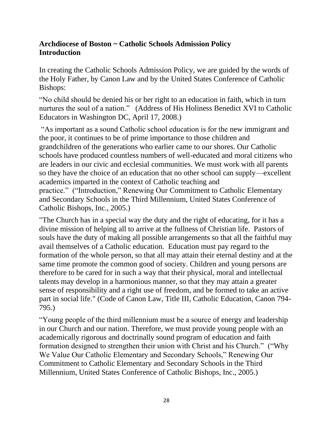#### **Archdiocese of Boston ~ Catholic Schools Admission Policy Introduction**

In creating the Catholic Schools Admission Policy, we are guided by the words of the Holy Father, by Canon Law and by the United States Conference of Catholic Bishops:

"No child should be denied his or her right to an education in faith, which in turn nurtures the soul of a nation." (Address of His Holiness Benedict XVI to Catholic Educators in Washington DC, April 17, 2008.)

"As important as a sound Catholic school education is for the new immigrant and the poor, it continues to be of prime importance to those children and grandchildren of the generations who earlier came to our shores. Our Catholic schools have produced countless numbers of well-educated and moral citizens who are leaders in our civic and ecclesial communities. We must work with all parents so they have the choice of an education that no other school can supply—excellent academics imparted in the context of Catholic teaching and practice." ("Introduction," Renewing Our Commitment to Catholic Elementary and Secondary Schools in the Third Millennium, United States Conference of Catholic Bishops, Inc., 2005.)

"The Church has in a special way the duty and the right of educating, for it has a divine mission of helping all to arrive at the fullness of Christian life. Pastors of souls have the duty of making all possible arrangements so that all the faithful may avail themselves of a Catholic education. Education must pay regard to the formation of the whole person, so that all may attain their eternal destiny and at the same time promote the common good of society. Children and young persons are therefore to be cared for in such a way that their physical, moral and intellectual talents may develop in a harmonious manner, so that they may attain a greater sense of responsibility and a right use of freedom, and be formed to take an active part in social life." (Code of Canon Law, Title III, Catholic Education, Canon 794- 795.)

"Young people of the third millennium must be a source of energy and leadership in our Church and our nation. Therefore, we must provide young people with an academically rigorous and doctrinally sound program of education and faith formation designed to strengthen their union with Christ and his Church." ("Why We Value Our Catholic Elementary and Secondary Schools," Renewing Our Commitment to Catholic Elementary and Secondary Schools in the Third Millennium, United States Conference of Catholic Bishops, Inc., 2005.)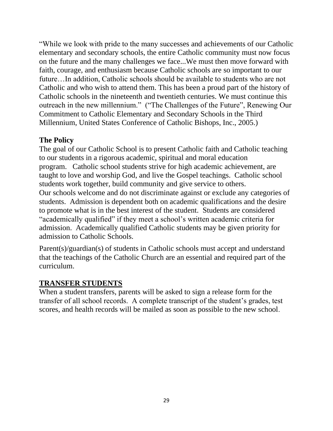"While we look with pride to the many successes and achievements of our Catholic elementary and secondary schools, the entire Catholic community must now focus on the future and the many challenges we face...We must then move forward with faith, courage, and enthusiasm because Catholic schools are so important to our future…In addition, Catholic schools should be available to students who are not Catholic and who wish to attend them. This has been a proud part of the history of Catholic schools in the nineteenth and twentieth centuries. We must continue this outreach in the new millennium." ("The Challenges of the Future", Renewing Our Commitment to Catholic Elementary and Secondary Schools in the Third Millennium, United States Conference of Catholic Bishops, Inc., 2005.)

#### **The Policy**

The goal of our Catholic School is to present Catholic faith and Catholic teaching to our students in a rigorous academic, spiritual and moral education program. Catholic school students strive for high academic achievement, are taught to love and worship God, and live the Gospel teachings. Catholic school students work together, build community and give service to others. Our schools welcome and do not discriminate against or exclude any categories of students. Admission is dependent both on academic qualifications and the desire to promote what is in the best interest of the student. Students are considered "academically qualified" if they meet a school's written academic criteria for admission. Academically qualified Catholic students may be given priority for admission to Catholic Schools.

Parent(s)/guardian(s) of students in Catholic schools must accept and understand that the teachings of the Catholic Church are an essential and required part of the curriculum.

#### <span id="page-28-0"></span>**TRANSFER STUDENTS**

<span id="page-28-1"></span>When a student transfers, parents will be asked to sign a release form for the transfer of all school records. A complete transcript of the student's grades, test scores, and health records will be mailed as soon as possible to the new school.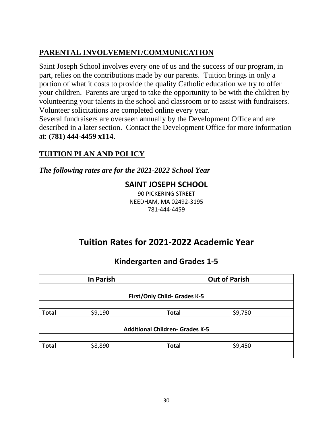## **PARENTAL INVOLVEMENT/COMMUNICATION**

Saint Joseph School involves every one of us and the success of our program, in part, relies on the contributions made by our parents. Tuition brings in only a portion of what it costs to provide the quality Catholic education we try to offer your children. Parents are urged to take the opportunity to be with the children by volunteering your talents in the school and classroom or to assist with fundraisers. Volunteer solicitations are completed online every year.

Several fundraisers are overseen annually by the Development Office and are described in a later section. Contact the Development Office for more information at: **(781) 444-4459 x114**.

## <span id="page-29-0"></span>**TUITION PLAN AND POLICY**

*The following rates are for the 2021-2022 School Year*

## **SAINT JOSEPH SCHOOL**

90 PICKERING STREET NEEDHAM, MA 02492-3195 781-444-4459

## **Tuition Rates for 2021-2022 Academic Year**

## **Kindergarten and Grades 1-5**

|                              | <b>In Parish</b> |                                        | <b>Out of Parish</b> |
|------------------------------|------------------|----------------------------------------|----------------------|
|                              |                  |                                        |                      |
| First/Only Child- Grades K-5 |                  |                                        |                      |
|                              |                  |                                        |                      |
| <b>Total</b>                 | \$9,190          | <b>Total</b>                           | \$9,750              |
|                              |                  |                                        |                      |
|                              |                  | <b>Additional Children- Grades K-5</b> |                      |
|                              |                  |                                        |                      |
| <b>Total</b>                 | \$8,890          | <b>Total</b>                           | \$9,450              |
|                              |                  |                                        |                      |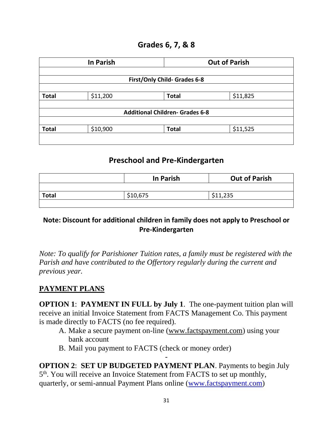#### **Grades 6, 7, & 8**

|                              | <b>In Parish</b> |                                        | <b>Out of Parish</b> |
|------------------------------|------------------|----------------------------------------|----------------------|
|                              |                  |                                        |                      |
| First/Only Child- Grades 6-8 |                  |                                        |                      |
|                              |                  |                                        |                      |
| <b>Total</b>                 | \$11,200         | <b>Total</b>                           | \$11,825             |
|                              |                  |                                        |                      |
|                              |                  | <b>Additional Children- Grades 6-8</b> |                      |
|                              |                  |                                        |                      |
| <b>Total</b>                 | \$10,900         | <b>Total</b>                           | \$11,525             |
|                              |                  |                                        |                      |
|                              |                  |                                        |                      |

## **Preschool and Pre-Kindergarten**

|              | In Parish | <b>Out of Parish</b> |
|--------------|-----------|----------------------|
|              |           |                      |
| <b>Total</b> | \$10,675  | \$11,235             |
|              |           |                      |

#### **Note: Discount for additional children in family does not apply to Preschool or Pre-Kindergarten**

*Note: To qualify for Parishioner Tuition rates, a family must be registered with the Parish and have contributed to the Offertory regularly during the current and previous year.*

## **PAYMENT PLANS**

**OPTION 1: PAYMENT IN FULL by July 1.** The one-payment tuition plan will receive an initial Invoice Statement from FACTS Management Co. This payment is made directly to FACTS (no fee required).

- A. Make a secure payment on-line [\(www.factspayment.com\)](http://www.factspayment.com/) using your bank account
- B. Mail you payment to FACTS (check or money order)

**OPTION 2**: **SET UP BUDGETED PAYMENT PLAN**. Payments to begin July 5<sup>th</sup>. You will receive an Invoice Statement from FACTS to set up monthly, quarterly, or semi-annual Payment Plans online [\(www.factspayment.com\)](http://www.factspayment.com/)

-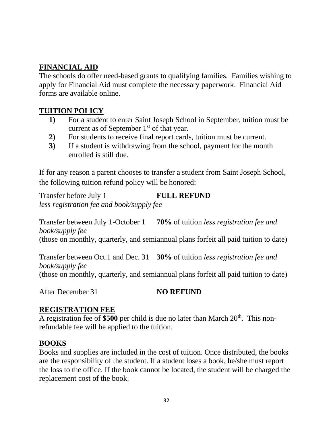## **FINANCIAL AID**

The schools do offer need-based grants to qualifying families. Families wishing to apply for Financial Aid must complete the necessary paperwork. Financial Aid forms are available online.

#### **TUITION POLICY**

- **1)** For a student to enter Saint Joseph School in September, tuition must be current as of September  $1<sup>st</sup>$  of that year.
- **2)** For students to receive final report cards, tuition must be current.
- **3)** If a student is withdrawing from the school, payment for the month enrolled is still due.

If for any reason a parent chooses to transfer a student from Saint Joseph School, the following tuition refund policy will be honored:

Transfer before July 1 **FULL REFUND** *less registration fee and book/supply fee*

Transfer between July 1-October 1 **70%** of tuition *less registration fee and book/supply fee* (those on monthly, quarterly, and semiannual plans forfeit all paid tuition to date)

Transfer between Oct.1 and Dec. 31 **30%** of tuition *less registration fee and book/supply fee* (those on monthly, quarterly, and semiannual plans forfeit all paid tuition to date)

After December 31 **NO REFUND** 

#### **REGISTRATION FEE**

A registration fee of \$500 per child is due no later than March 20<sup>th</sup>. This nonrefundable fee will be applied to the tuition.

#### **BOOKS**

Books and supplies are included in the cost of tuition. Once distributed, the books are the responsibility of the student. If a student loses a book, he/she must report the loss to the office. If the book cannot be located, the student will be charged the replacement cost of the book.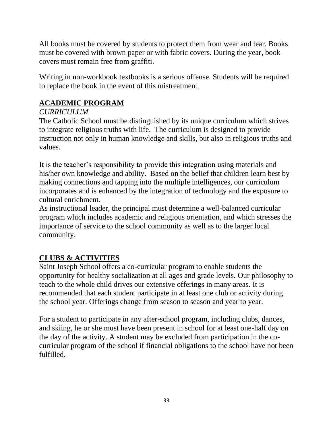All books must be covered by students to protect them from wear and tear. Books must be covered with brown paper or with fabric covers. During the year, book covers must remain free from graffiti.

Writing in non-workbook textbooks is a serious offense. Students will be required to replace the book in the event of this mistreatment.

## <span id="page-32-0"></span>**ACADEMIC PROGRAM**

#### *CURRICULUM*

The Catholic School must be distinguished by its unique curriculum which strives to integrate religious truths with life. The curriculum is designed to provide instruction not only in human knowledge and skills, but also in religious truths and values.

It is the teacher's responsibility to provide this integration using materials and his/her own knowledge and ability. Based on the belief that children learn best by making connections and tapping into the multiple intelligences, our curriculum incorporates and is enhanced by the integration of technology and the exposure to cultural enrichment.

As instructional leader, the principal must determine a well-balanced curricular program which includes academic and religious orientation, and which stresses the importance of service to the school community as well as to the larger local community.

## **CLUBS & ACTIVITIES**

Saint Joseph School offers a co-curricular program to enable students the opportunity for healthy socialization at all ages and grade levels. Our philosophy to teach to the whole child drives our extensive offerings in many areas. It is recommended that each student participate in at least one club or activity during the school year. Offerings change from season to season and year to year.

For a student to participate in any after-school program, including clubs, dances, and skiing, he or she must have been present in school for at least one-half day on the day of the activity. A student may be excluded from participation in the cocurricular program of the school if financial obligations to the school have not been fulfilled.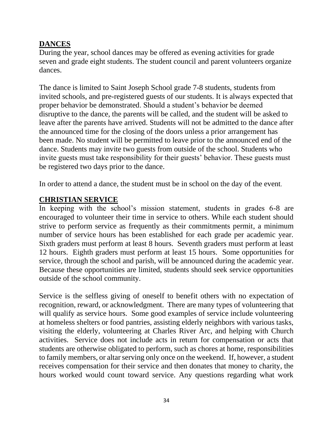#### **DANCES**

During the year, school dances may be offered as evening activities for grade seven and grade eight students. The student council and parent volunteers organize dances.

The dance is limited to Saint Joseph School grade 7-8 students, students from invited schools, and pre-registered guests of our students. It is always expected that proper behavior be demonstrated. Should a student's behavior be deemed disruptive to the dance, the parents will be called, and the student will be asked to leave after the parents have arrived. Students will not be admitted to the dance after the announced time for the closing of the doors unless a prior arrangement has been made. No student will be permitted to leave prior to the announced end of the dance. Students may invite two guests from outside of the school. Students who invite guests must take responsibility for their guests' behavior. These guests must be registered two days prior to the dance.

In order to attend a dance, the student must be in school on the day of the event.

#### **CHRISTIAN SERVICE**

In keeping with the school's mission statement, students in grades 6-8 are encouraged to volunteer their time in service to others. While each student should strive to perform service as frequently as their commitments permit, a minimum number of service hours has been established for each grade per academic year. Sixth graders must perform at least 8 hours. Seventh graders must perform at least 12 hours. Eighth graders must perform at least 15 hours. Some opportunities for service, through the school and parish, will be announced during the academic year. Because these opportunities are limited, students should seek service opportunities outside of the school community.

Service is the selfless giving of oneself to benefit others with no expectation of recognition, reward, or acknowledgment. There are many types of volunteering that will qualify as service hours. Some good examples of service include volunteering at homeless shelters or food pantries, assisting elderly neighbors with various tasks, visiting the elderly, volunteering at Charles River Arc, and helping with Church activities. Service does not include acts in return for compensation or acts that students are otherwise obligated to perform, such as chores at home, responsibilities to family members, or altar serving only once on the weekend. If, however, a student receives compensation for their service and then donates that money to charity, the hours worked would count toward service. Any questions regarding what work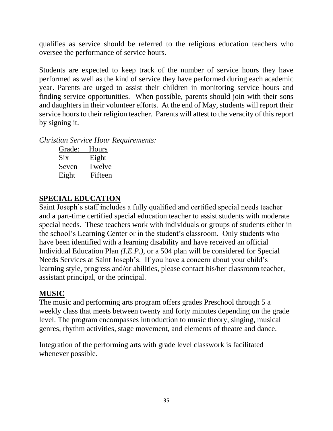qualifies as service should be referred to the religious education teachers who oversee the performance of service hours.

Students are expected to keep track of the number of service hours they have performed as well as the kind of service they have performed during each academic year. Parents are urged to assist their children in monitoring service hours and finding service opportunities. When possible, parents should join with their sons and daughters in their volunteer efforts. At the end of May, students will report their service hours to their religion teacher. Parents will attest to the veracity of this report by signing it.

*Christian Service Hour Requirements:*

| Grade: | Hours   |
|--------|---------|
| Six    | Eight   |
| Seven  | Twelve  |
| Eight  | Fifteen |

## **SPECIAL EDUCATION**

Saint Joseph's staff includes a fully qualified and certified special needs teacher and a part-time certified special education teacher to assist students with moderate special needs. These teachers work with individuals or groups of students either in the school's Learning Center or in the student's classroom. Only students who have been identified with a learning disability and have received an official Individual Education Plan *(I.E.P.)*, or a 504 plan will be considered for Special Needs Services at Saint Joseph's. If you have a concern about your child's learning style, progress and/or abilities, please contact his/her classroom teacher, assistant principal, or the principal.

#### **MUSIC**

The music and performing arts program offers grades Preschool through 5 a weekly class that meets between twenty and forty minutes depending on the grade level. The program encompasses introduction to music theory, singing, musical genres, rhythm activities, stage movement, and elements of theatre and dance.

Integration of the performing arts with grade level classwork is facilitated whenever possible.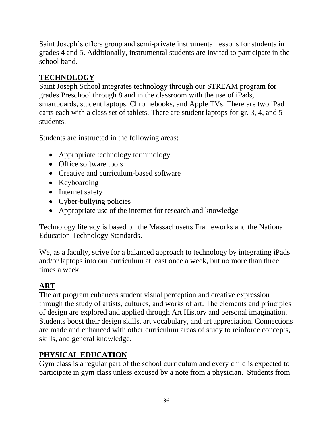Saint Joseph's offers group and semi-private instrumental lessons for students in grades 4 and 5. Additionally, instrumental students are invited to participate in the school band.

## **TECHNOLOGY**

Saint Joseph School integrates technology through our STREAM program for grades Preschool through 8 and in the classroom with the use of iPads, smartboards, student laptops, Chromebooks, and Apple TVs. There are two iPad carts each with a class set of tablets. There are student laptops for gr. 3, 4, and 5 students.

Students are instructed in the following areas:

- Appropriate technology terminology
- Office software tools
- Creative and curriculum-based software
- Keyboarding
- Internet safety
- Cyber-bullying policies
- Appropriate use of the internet for research and knowledge

Technology literacy is based on the Massachusetts Frameworks and the National Education Technology Standards.

We, as a faculty, strive for a balanced approach to technology by integrating iPads and/or laptops into our curriculum at least once a week, but no more than three times a week.

## **ART**

The art program enhances student visual perception and creative expression through the study of artists, cultures, and works of art. The elements and principles of design are explored and applied through Art History and personal imagination. Students boost their design skills, art vocabulary, and art appreciation. Connections are made and enhanced with other curriculum areas of study to reinforce concepts, skills, and general knowledge.

## **PHYSICAL EDUCATION**

Gym class is a regular part of the school curriculum and every child is expected to participate in gym class unless excused by a note from a physician. Students from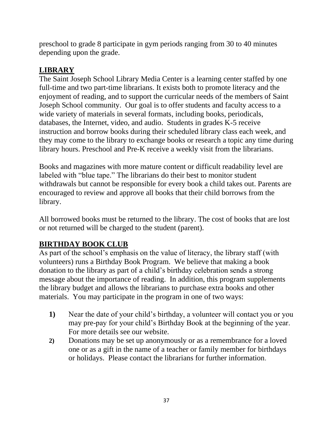preschool to grade 8 participate in gym periods ranging from 30 to 40 minutes depending upon the grade.

## **LIBRARY**

The Saint Joseph School Library Media Center is a learning center staffed by one full-time and two part-time librarians. It exists both to promote literacy and the enjoyment of reading, and to support the curricular needs of the members of Saint Joseph School community. Our goal is to offer students and faculty access to a wide variety of materials in several formats, including books, periodicals, databases, the Internet, video, and audio. Students in grades K-5 receive instruction and borrow books during their scheduled library class each week, and they may come to the library to exchange books or research a topic any time during library hours. Preschool and Pre-K receive a weekly visit from the librarians.

Books and magazines with more mature content or difficult readability level are labeled with "blue tape." The librarians do their best to monitor student withdrawals but cannot be responsible for every book a child takes out. Parents are encouraged to review and approve all books that their child borrows from the library.

All borrowed books must be returned to the library. The cost of books that are lost or not returned will be charged to the student (parent).

## **BIRTHDAY BOOK CLUB**

As part of the school's emphasis on the value of literacy, the library staff (with volunteers) runs a Birthday Book Program. We believe that making a book donation to the library as part of a child's birthday celebration sends a strong message about the importance of reading. In addition, this program supplements the library budget and allows the librarians to purchase extra books and other materials. You may participate in the program in one of two ways:

- **1)** Near the date of your child's birthday, a volunteer will contact you or you may pre-pay for your child's Birthday Book at the beginning of the year. For more details see our website.
- **2)** Donations may be set up anonymously or as a remembrance for a loved one or as a gift in the name of a teacher or family member for birthdays or holidays. Please contact the librarians for further information.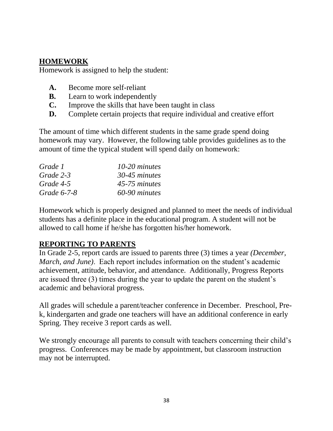#### <span id="page-37-0"></span>**HOMEWORK**

Homework is assigned to help the student:

- **A.** Become more self-reliant
- **B.** Learn to work independently
- **C.** Improve the skills that have been taught in class
- **D.** Complete certain projects that require individual and creative effort

The amount of time which different students in the same grade spend doing homework may vary. However, the following table provides guidelines as to the amount of time the typical student will spend daily on homework:

| Grade 1     | $10-20$ minutes |
|-------------|-----------------|
| Grade 2-3   | 30-45 minutes   |
| Grade 4-5   | 45-75 minutes   |
| Grade 6-7-8 | 60-90 minutes   |

Homework which is properly designed and planned to meet the needs of individual students has a definite place in the educational program. A student will not be allowed to call home if he/she has forgotten his/her homework.

## <span id="page-37-1"></span>**REPORTING TO PARENTS**

In Grade 2-5, report cards are issued to parents three (3) times a year *(December, March, and June)*. Each report includes information on the student's academic achievement, attitude, behavior, and attendance. Additionally, Progress Reports are issued three (3) times during the year to update the parent on the student's academic and behavioral progress.

All grades will schedule a parent/teacher conference in December. Preschool, Prek, kindergarten and grade one teachers will have an additional conference in early Spring. They receive 3 report cards as well.

We strongly encourage all parents to consult with teachers concerning their child's progress. Conferences may be made by appointment, but classroom instruction may not be interrupted.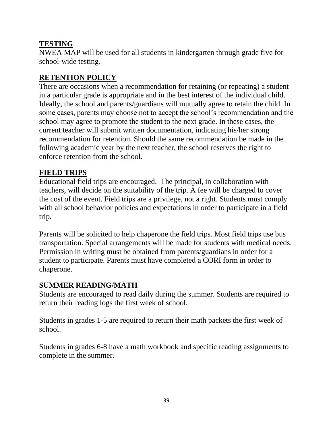## <span id="page-38-0"></span>**TESTING**

NWEA MAP will be used for all students in kindergarten through grade five for school-wide testing.

## <span id="page-38-1"></span>**RETENTION POLICY**

There are occasions when a recommendation for retaining (or repeating) a student in a particular grade is appropriate and in the best interest of the individual child. Ideally, the school and parents/guardians will mutually agree to retain the child. In some cases, parents may choose not to accept the school's recommendation and the school may agree to promote the student to the next grade. In these cases, the current teacher will submit written documentation, indicating his/her strong recommendation for retention. Should the same recommendation be made in the following academic year by the next teacher, the school reserves the right to enforce retention from the school.

#### **FIELD TRIPS**

Educational field trips are encouraged. The principal, in collaboration with teachers, will decide on the suitability of the trip. A fee will be charged to cover the cost of the event. Field trips are a privilege, not a right. Students must comply with all school behavior policies and expectations in order to participate in a field trip.

Parents will be solicited to help chaperone the field trips. Most field trips use bus transportation. Special arrangements will be made for students with medical needs. Permission in writing must be obtained from parents/guardians in order for a student to participate. Parents must have completed a CORI form in order to chaperone.

## <span id="page-38-2"></span>**SUMMER READING/MATH**

Students are encouraged to read daily during the summer. Students are required to return their reading logs the first week of school.

Students in grades 1-5 are required to return their math packets the first week of school.

Students in grades 6-8 have a math workbook and specific reading assignments to complete in the summer.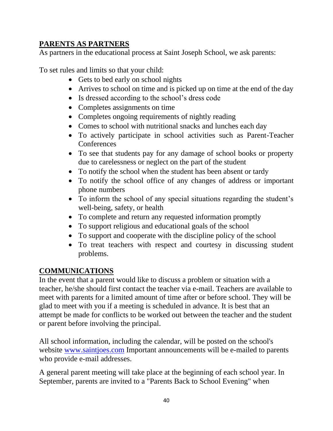## <span id="page-39-0"></span>**PARENTS AS PARTNERS**

As partners in the educational process at Saint Joseph School, we ask parents:

To set rules and limits so that your child:

- Gets to bed early on school nights
- Arrives to school on time and is picked up on time at the end of the day
- Is dressed according to the school's dress code
- Completes assignments on time
- Completes ongoing requirements of nightly reading
- Comes to school with nutritional snacks and lunches each day
- To actively participate in school activities such as Parent-Teacher **Conferences**
- To see that students pay for any damage of school books or property due to carelessness or neglect on the part of the student
- To notify the school when the student has been absent or tardy
- To notify the school office of any changes of address or important phone numbers
- To inform the school of any special situations regarding the student's well-being, safety, or health
- To complete and return any requested information promptly
- To support religious and educational goals of the school
- To support and cooperate with the discipline policy of the school
- To treat teachers with respect and courtesy in discussing student problems.

## <span id="page-39-1"></span>**COMMUNICATIONS**

In the event that a parent would like to discuss a problem or situation with a teacher, he/she should first contact the teacher via e-mail. Teachers are available to meet with parents for a limited amount of time after or before school. They will be glad to meet with you if a meeting is scheduled in advance. It is best that an attempt be made for conflicts to be worked out between the teacher and the student or parent before involving the principal.

All school information, including the calendar, will be posted on the school's website [www.saintjoes.com](http://www.saintjoes.com/) Important announcements will be e-mailed to parents who provide e-mail addresses.

A general parent meeting will take place at the beginning of each school year. In September, parents are invited to a "Parents Back to School Evening" when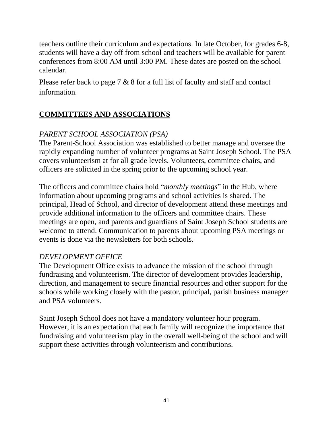teachers outline their curriculum and expectations. In late October, for grades 6-8, students will have a day off from school and teachers will be available for parent conferences from 8:00 AM until 3:00 PM. These dates are posted on the school calendar.

Please refer back to page 7 & 8 for a full list of faculty and staff and contact information.

## **COMMITTEES AND ASSOCIATIONS**

## *PARENT SCHOOL ASSOCIATION (PSA)*

The Parent-School Association was established to better manage and oversee the rapidly expanding number of volunteer programs at Saint Joseph School. The PSA covers volunteerism at for all grade levels. Volunteers, committee chairs, and officers are solicited in the spring prior to the upcoming school year.

The officers and committee chairs hold "*monthly meetings*" in the Hub, where information about upcoming programs and school activities is shared. The principal, Head of School, and director of development attend these meetings and provide additional information to the officers and committee chairs. These meetings are open, and parents and guardians of Saint Joseph School students are welcome to attend. Communication to parents about upcoming PSA meetings or events is done via the newsletters for both schools.

#### *DEVELOPMENT OFFICE*

The Development Office exists to advance the mission of the school through fundraising and volunteerism. The director of development provides leadership, direction, and management to secure financial resources and other support for the schools while working closely with the pastor, principal, parish business manager and PSA volunteers.

Saint Joseph School does not have a mandatory volunteer hour program. However, it is an expectation that each family will recognize the importance that fundraising and volunteerism play in the overall well-being of the school and will support these activities through volunteerism and contributions.